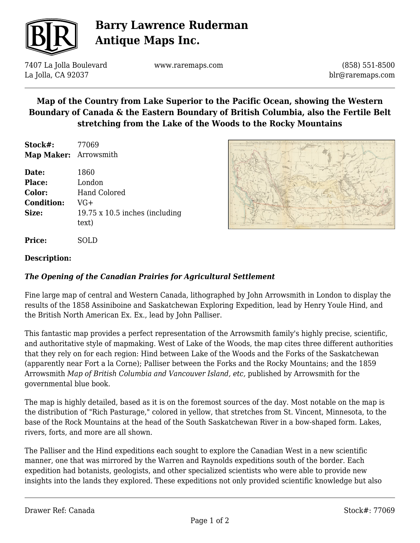

# **Barry Lawrence Ruderman Antique Maps Inc.**

7407 La Jolla Boulevard La Jolla, CA 92037

www.raremaps.com

(858) 551-8500 blr@raremaps.com

## **Map of the Country from Lake Superior to the Pacific Ocean, showing the Western Boundary of Canada & the Eastern Boundary of British Columbia, also the Fertile Belt stretching from the Lake of the Woods to the Rocky Mountains**

**Stock#:** 77069 **Map Maker:** Arrowsmith

| Date:             | 1860                                  |
|-------------------|---------------------------------------|
| <b>Place:</b>     | London                                |
| Color:            | <b>Hand Colored</b>                   |
| <b>Condition:</b> | VG+                                   |
| Size:             | $19.75 \times 10.5$ inches (including |
|                   | text)                                 |
|                   |                                       |



#### **Description:**

**Price:** SOLD

### *The Opening of the Canadian Prairies for Agricultural Settlement*

Fine large map of central and Western Canada, lithographed by John Arrowsmith in London to display the results of the 1858 Assiniboine and Saskatchewan Exploring Expedition, lead by Henry Youle Hind, and the British North American Ex. Ex., lead by John Palliser.

This fantastic map provides a perfect representation of the Arrowsmith family's highly precise, scientific, and authoritative style of mapmaking. West of Lake of the Woods, the map cites three different authorities that they rely on for each region: Hind between Lake of the Woods and the Forks of the Saskatchewan (apparently near Fort a la Corne); Palliser between the Forks and the Rocky Mountains; and the 1859 Arrowsmith *Map of British Columbia and Vancouver Island, etc,* published by Arrowsmith for the governmental blue book.

The map is highly detailed, based as it is on the foremost sources of the day. Most notable on the map is the distribution of "Rich Pasturage," colored in yellow, that stretches from St. Vincent, Minnesota, to the base of the Rock Mountains at the head of the South Saskatchewan River in a bow-shaped form. Lakes, rivers, forts, and more are all shown.

The Palliser and the Hind expeditions each sought to explore the Canadian West in a new scientific manner, one that was mirrored by the Warren and Raynolds expeditions south of the border. Each expedition had botanists, geologists, and other specialized scientists who were able to provide new insights into the lands they explored. These expeditions not only provided scientific knowledge but also